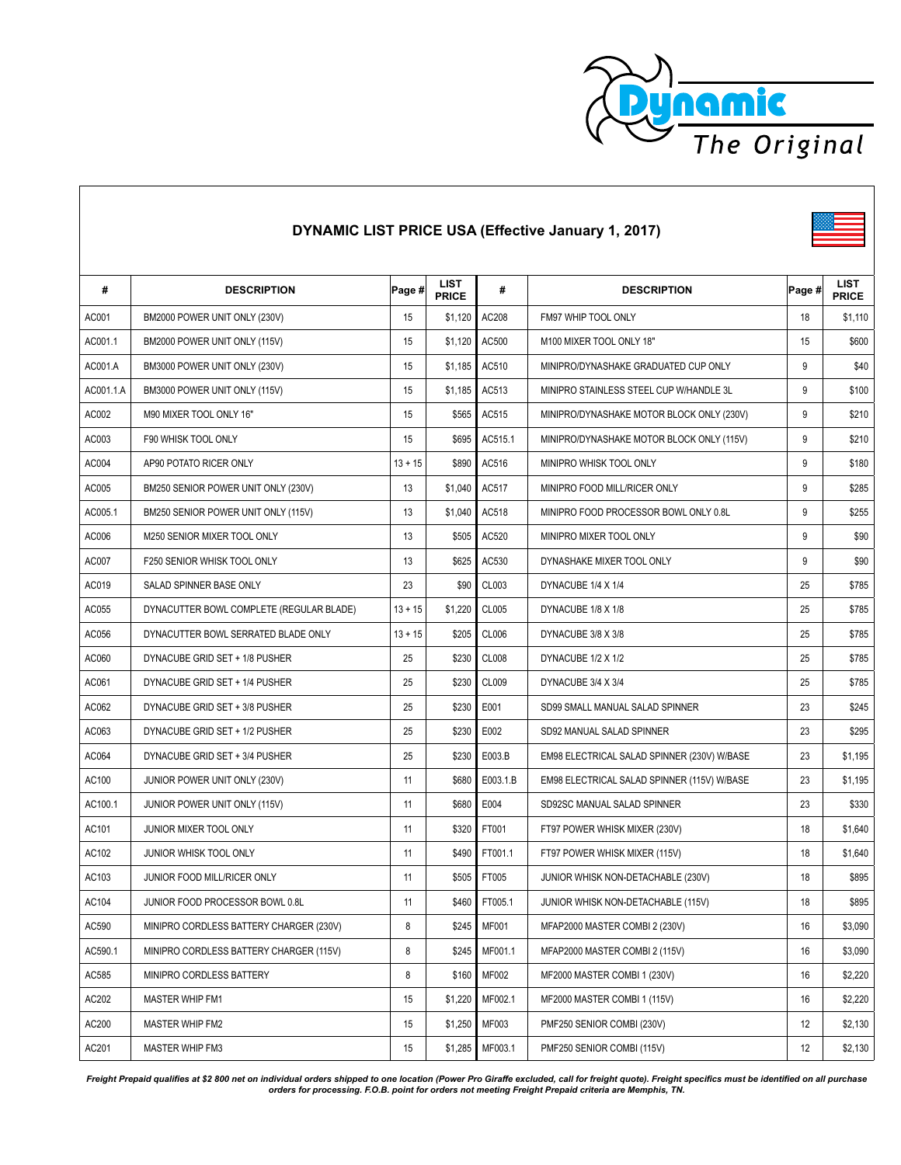

| #         | <b>DESCRIPTION</b>                       | Page #    | LIST<br><b>PRICE</b> | #             | <b>DESCRIPTION</b>                          | Page # | LIST<br><b>PRICE</b> |
|-----------|------------------------------------------|-----------|----------------------|---------------|---------------------------------------------|--------|----------------------|
| AC001     | BM2000 POWER UNIT ONLY (230V)            | 15        | \$1,120              | AC208         | FM97 WHIP TOOL ONLY                         | 18     | \$1,110              |
| AC001.1   | BM2000 POWER UNIT ONLY (115V)            | 15        | \$1,120              | AC500         | M100 MIXER TOOL ONLY 18"                    | 15     | \$600                |
| AC001.A   | BM3000 POWER UNIT ONLY (230V)            | 15        | \$1,185              | AC510         | MINIPRO/DYNASHAKE GRADUATED CUP ONLY        | 9      | \$40                 |
| AC001.1.A | BM3000 POWER UNIT ONLY (115V)            | 15        | \$1,185              | AC513         | MINIPRO STAINLESS STEEL CUP W/HANDLE 3L     | 9      | \$100                |
| AC002     | M90 MIXER TOOL ONLY 16"                  | 15        | \$565                | AC515         | MINIPRO/DYNASHAKE MOTOR BLOCK ONLY (230V)   | 9      | \$210                |
| AC003     | F90 WHISK TOOL ONLY                      | 15        | \$695                | AC515.1       | MINIPRO/DYNASHAKE MOTOR BLOCK ONLY (115V)   | 9      | \$210                |
| AC004     | AP90 POTATO RICER ONLY                   | $13 + 15$ | \$890                | AC516         | MINIPRO WHISK TOOL ONLY                     | 9      | \$180                |
| AC005     | BM250 SENIOR POWER UNIT ONLY (230V)      | 13        | \$1,040              | AC517         | MINIPRO FOOD MILL/RICER ONLY                | 9      | \$285                |
| AC005.1   | BM250 SENIOR POWER UNIT ONLY (115V)      | 13        | \$1,040              | AC518         | MINIPRO FOOD PROCESSOR BOWL ONLY 0.8L       | 9      | \$255                |
| AC006     | M250 SENIOR MIXER TOOL ONLY              | 13        | \$505                | AC520         | MINIPRO MIXER TOOL ONLY                     | 9      | \$90                 |
| AC007     | F250 SENIOR WHISK TOOL ONLY              | 13        | \$625                | AC530         | DYNASHAKE MIXER TOOL ONLY                   | 9      | \$90                 |
| AC019     | SALAD SPINNER BASE ONLY                  | 23        | \$90                 | CL003         | DYNACUBE 1/4 X 1/4                          | 25     | \$785                |
| AC055     | DYNACUTTER BOWL COMPLETE (REGULAR BLADE) | $13 + 15$ | \$1,220              | CL005         | DYNACUBE 1/8 X 1/8                          | 25     | \$785                |
| AC056     | DYNACUTTER BOWL SERRATED BLADE ONLY      | $13 + 15$ | \$205                | CL006         | DYNACUBE 3/8 X 3/8                          | 25     | \$785                |
| AC060     | DYNACUBE GRID SET + 1/8 PUSHER           | 25        | \$230                | <b>CL008</b>  | DYNACUBE 1/2 X 1/2                          | 25     | \$785                |
| AC061     | DYNACUBE GRID SET + 1/4 PUSHER           | 25        | \$230                | CL009         | DYNACUBE 3/4 X 3/4                          | 25     | \$785                |
| AC062     | DYNACUBE GRID SET + 3/8 PUSHER           | 25        | \$230                | E001          | SD99 SMALL MANUAL SALAD SPINNER             | 23     | \$245                |
| AC063     | DYNACUBE GRID SET + 1/2 PUSHER           | 25        | \$230                | E002          | SD92 MANUAL SALAD SPINNER                   | 23     | \$295                |
| AC064     | DYNACUBE GRID SET + 3/4 PUSHER           | 25        | \$230                | E003.B        | EM98 ELECTRICAL SALAD SPINNER (230V) W/BASE | 23     | \$1,195              |
| AC100     | JUNIOR POWER UNIT ONLY (230V)            | 11        | \$680                | E003.1.B      | EM98 ELECTRICAL SALAD SPINNER (115V) W/BASE | 23     | \$1,195              |
| AC100.1   | JUNIOR POWER UNIT ONLY (115V)            | 11        | \$680                | E004          | SD92SC MANUAL SALAD SPINNER                 | 23     | \$330                |
| AC101     | JUNIOR MIXER TOOL ONLY                   | 11        | \$320                | FT001         | FT97 POWER WHISK MIXER (230V)               | 18     | \$1,640              |
| AC102     | JUNIOR WHISK TOOL ONLY                   | 11        | \$490                | FT001.1       | FT97 POWER WHISK MIXER (115V)               | 18     | \$1,640              |
| AC103     | JUNIOR FOOD MILL/RICER ONLY              | 11        | \$505                | FT005         | JUNIOR WHISK NON-DETACHABLE (230V)          | 18     | \$895                |
| AC104     | JUNIOR FOOD PROCESSOR BOWL 0.8L          | 11        |                      | \$460 FT005.1 | JUNIOR WHISK NON-DETACHABLE (115V)          | 18     | \$895                |
| AC590     | MINIPRO CORDLESS BATTERY CHARGER (230V)  | 8         | \$245                | <b>MF001</b>  | MFAP2000 MASTER COMBI 2 (230V)              | 16     | \$3,090              |
| AC590.1   | MINIPRO CORDLESS BATTERY CHARGER (115V)  | 8         | \$245                | MF001.1       | MFAP2000 MASTER COMBI 2 (115V)              | 16     | \$3,090              |
| AC585     | MINIPRO CORDLESS BATTERY                 | 8         | \$160                | MF002         | MF2000 MASTER COMBI 1 (230V)                | 16     | \$2,220              |
| AC202     | MASTER WHIP FM1                          | 15        | \$1,220              | MF002.1       | MF2000 MASTER COMBI 1 (115V)                | 16     | \$2,220              |
| AC200     | MASTER WHIP FM2                          | 15        | \$1,250              | MF003         | PMF250 SENIOR COMBI (230V)                  | 12     | \$2,130              |
| AC201     | <b>MASTER WHIP FM3</b>                   | 15        | \$1,285              | MF003.1       | PMF250 SENIOR COMBI (115V)                  | 12     | \$2,130              |

## **DYNAMIC LIST PRICE USA (Effective January 1, 2017)**

Freight Prepaid qualifies at \$2 800 net on individual orders shipped to one location (Power Pro Giraffe excluded, call for freight quote). Freight specifics must be identified on all purchase<br>orders for processing. F.O.B.